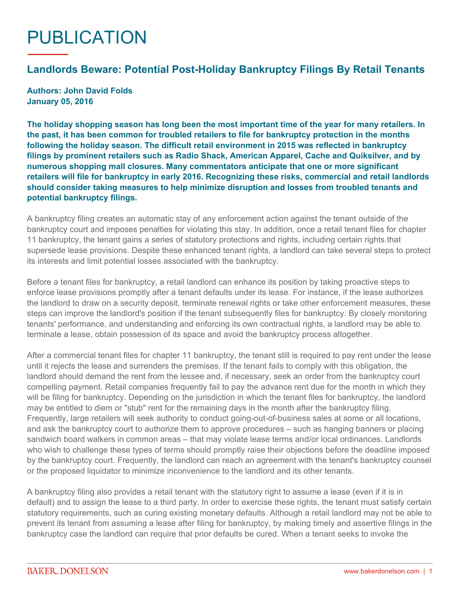## PUBLICATION

## **Landlords Beware: Potential Post-Holiday Bankruptcy Filings By Retail Tenants**

**Authors: John David Folds January 05, 2016**

**The holiday shopping season has long been the most important time of the year for many retailers. In the past, it has been common for troubled retailers to file for bankruptcy protection in the months following the holiday season. The difficult retail environment in 2015 was reflected in bankruptcy filings by prominent retailers such as Radio Shack, American Apparel, Cache and Quiksilver, and by numerous shopping mall closures. Many commentators anticipate that one or more significant retailers [will file for bankruptcy in early 2016.](http://www.cnbc.com/2015/11/20/high-stakes-for-these-retailers-this-holiday-season.html) Recognizing these risks, commercial and retail landlords should consider taking measures to help minimize disruption and losses from troubled tenants and potential bankruptcy filings.**

A bankruptcy filing creates an automatic stay of any enforcement action against the tenant outside of the bankruptcy court and imposes penalties for violating this stay. In addition, once a retail tenant files for chapter 11 bankruptcy, the tenant gains a series of statutory protections and rights, including certain rights that supersede lease provisions. Despite these enhanced tenant rights, a landlord can take several steps to protect its interests and limit potential losses associated with the bankruptcy.

Before a tenant files for bankruptcy, a retail landlord can enhance its position by taking proactive steps to enforce lease provisions promptly after a tenant defaults under its lease. For instance, if the lease authorizes the landlord to draw on a security deposit, terminate renewal rights or take other enforcement measures, these steps can improve the landlord's position if the tenant subsequently files for bankruptcy. By closely monitoring tenants' performance, and understanding and enforcing its own contractual rights, a landlord may be able to terminate a lease, obtain possession of its space and avoid the bankruptcy process altogether.

After a commercial tenant files for chapter 11 bankruptcy, the tenant still is required to pay rent under the lease until it rejects the lease and surrenders the premises. If the tenant fails to comply with this obligation, the landlord should demand the rent from the lessee and, if necessary, seek an order from the bankruptcy court compelling payment. Retail companies frequently fail to pay the advance rent due for the month in which they will be filing for bankruptcy. Depending on the jurisdiction in which the tenant files for bankruptcy, the landlord may be entitled to diem or "stub" rent for the remaining days in the month after the bankruptcy filing. Frequently, large retailers will seek authority to conduct going-out-of-business sales at some or all locations, and ask the bankruptcy court to authorize them to approve procedures – such as hanging banners or placing sandwich board walkers in common areas – that may violate lease terms and/or local ordinances. Landlords who wish to challenge these types of terms should promptly raise their objections before the deadline imposed by the bankruptcy court. Frequently, the landlord can reach an agreement with the tenant's bankruptcy counsel or the proposed liquidator to minimize inconvenience to the landlord and its other tenants.

A bankruptcy filing also provides a retail tenant with the statutory right to assume a lease (even if it is in default) and to assign the lease to a third party. In order to exercise these rights, the tenant must satisfy certain statutory requirements, such as curing existing monetary defaults. Although a retail landlord may not be able to prevent its tenant from assuming a lease after filing for bankruptcy, by making timely and assertive filings in the bankruptcy case the landlord can require that prior defaults be cured. When a tenant seeks to invoke the